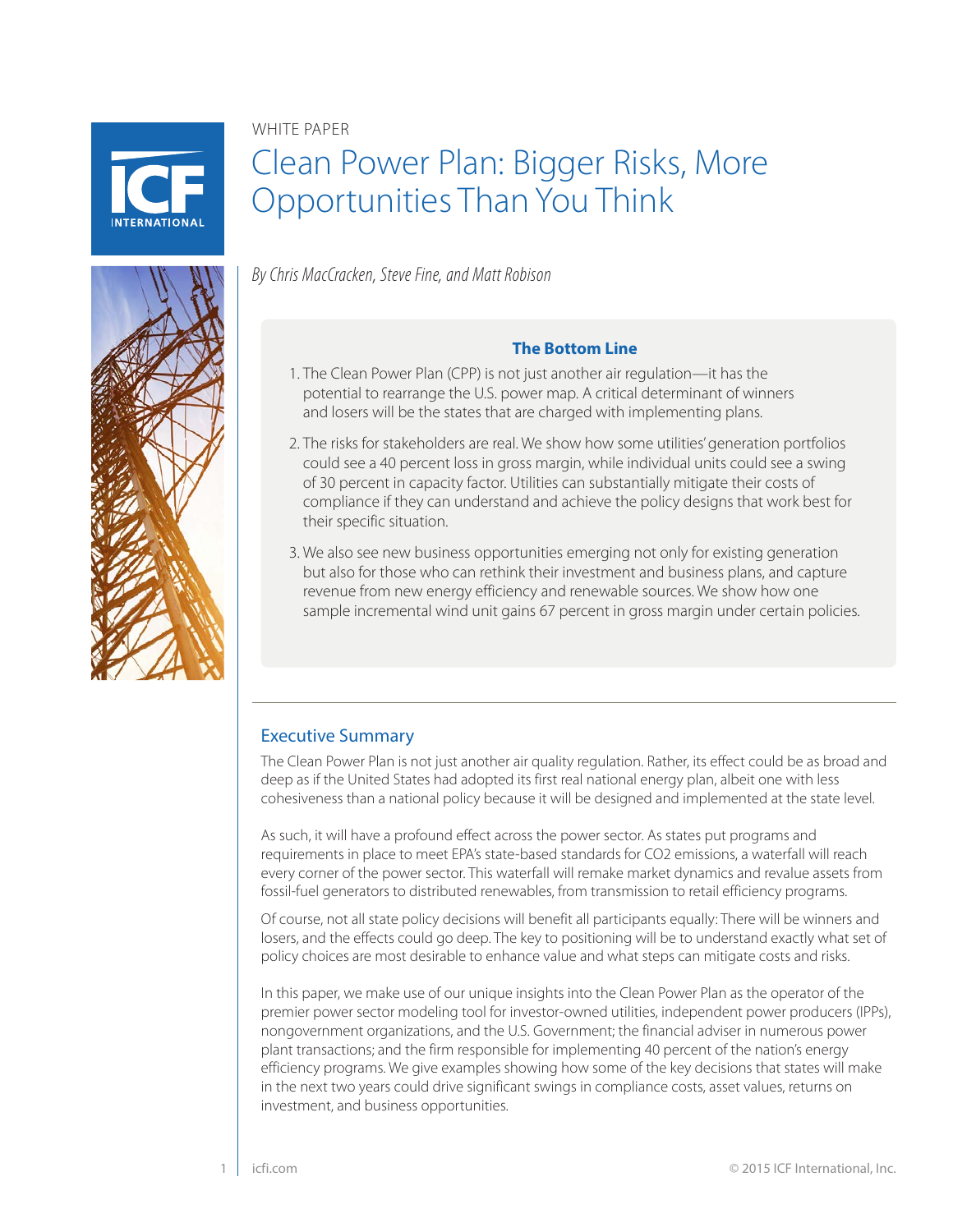

# WHITE PAPER

# Clean Power Plan: Bigger Risks, More Opportunities Than You Think



*By Chris MacCracken, Steve Fine, and Matt Robison*

#### **The Bottom Line**

- 1. The Clean Power Plan (CPP) is not just another air regulation—it has the potential to rearrange the U.S. power map. A critical determinant of winners and losers will be the states that are charged with implementing plans.
- 2. The risks for stakeholders are real. We show how some utilities' generation portfolios could see a 40 percent loss in gross margin, while individual units could see a swing of 30 percent in capacity factor. Utilities can substantially mitigate their costs of compliance if they can understand and achieve the policy designs that work best for their specific situation.
- 3. We also see new business opportunities emerging not only for existing generation but also for those who can rethink their investment and business plans, and capture revenue from new energy efficiency and renewable sources. We show how one sample incremental wind unit gains 67 percent in gross margin under certain policies.

# Executive Summary

The Clean Power Plan is not just another air quality regulation. Rather, its effect could be as broad and deep as if the United States had adopted its first real national energy plan, albeit one with less cohesiveness than a national policy because it will be designed and implemented at the state level.

As such, it will have a profound effect across the power sector. As states put programs and requirements in place to meet EPA's state-based standards for CO2 emissions, a waterfall will reach every corner of the power sector. This waterfall will remake market dynamics and revalue assets from fossil-fuel generators to distributed renewables, from transmission to retail efficiency programs.

Of course, not all state policy decisions will benefit all participants equally: There will be winners and losers, and the effects could go deep. The key to positioning will be to understand exactly what set of policy choices are most desirable to enhance value and what steps can mitigate costs and risks.

In this paper, we make use of our unique insights into the Clean Power Plan as the operator of the premier power sector modeling tool for investor-owned utilities, independent power producers (IPPs), nongovernment organizations, and the U.S. Government; the financial adviser in numerous power plant transactions; and the firm responsible for implementing 40 percent of the nation's energy efficiency programs. We give examples showing how some of the key decisions that states will make in the next two years could drive significant swings in compliance costs, asset values, returns on investment, and business opportunities.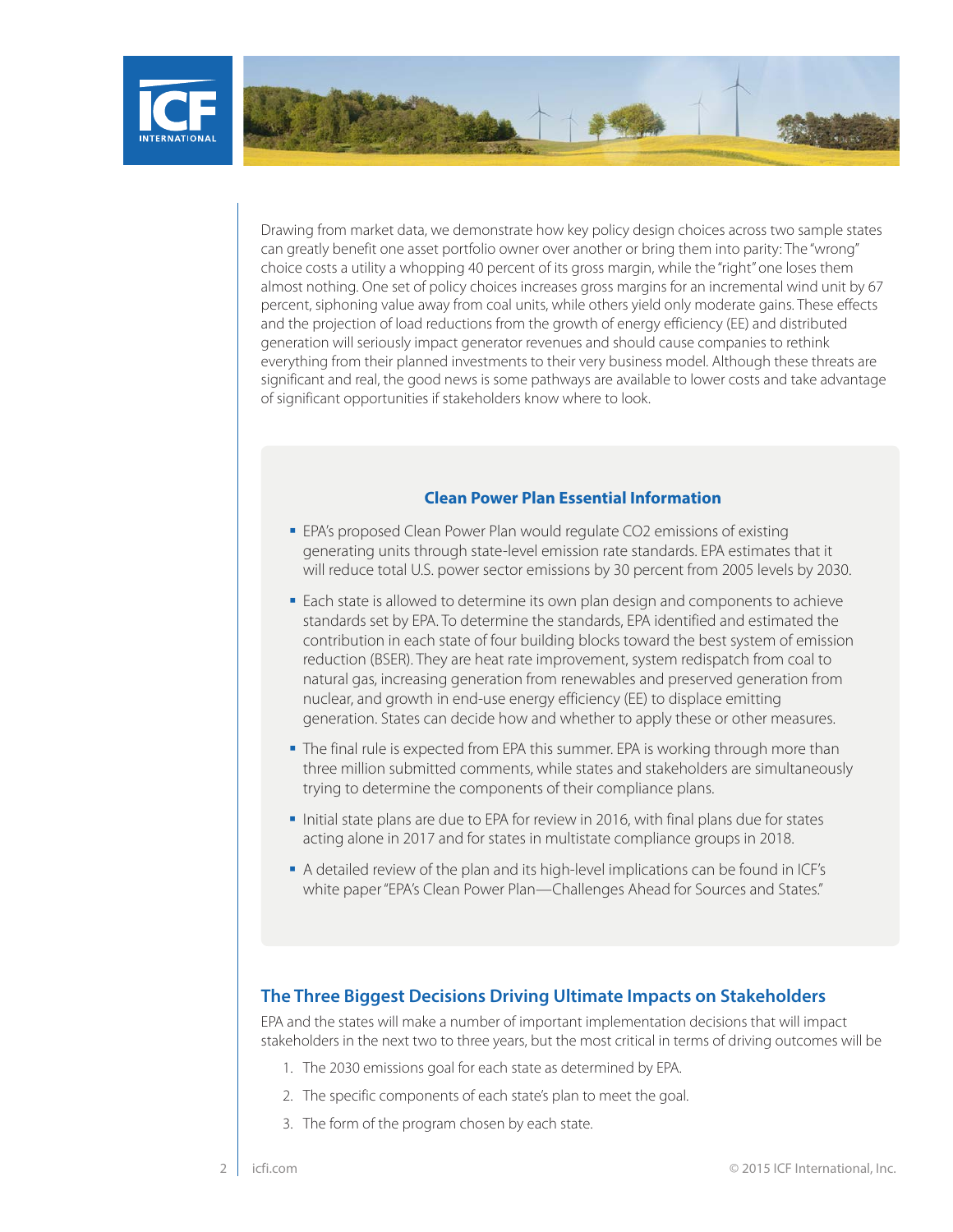

Drawing from market data, we demonstrate how key policy design choices across two sample states can greatly benefit one asset portfolio owner over another or bring them into parity: The "wrong" choice costs a utility a whopping 40 percent of its gross margin, while the "right" one loses them almost nothing. One set of policy choices increases gross margins for an incremental wind unit by 67 percent, siphoning value away from coal units, while others yield only moderate gains. These effects and the projection of load reductions from the growth of energy efficiency (EE) and distributed generation will seriously impact generator revenues and should cause companies to rethink everything from their planned investments to their very business model. Although these threats are significant and real, the good news is some pathways are available to lower costs and take advantage of significant opportunities if stakeholders know where to look.

#### **Clean Power Plan Essential Information**

- EPA's proposed Clean Power Plan would regulate CO2 emissions of existing generating units through state-level emission rate standards. EPA estimates that it will reduce total U.S. power sector emissions by 30 percent from 2005 levels by 2030.
- **Each state is allowed to determine its own plan design and components to achieve** standards set by EPA. To determine the standards, EPA identified and estimated the contribution in each state of four building blocks toward the best system of emission reduction (BSER). They are heat rate improvement, system redispatch from coal to natural gas, increasing generation from renewables and preserved generation from nuclear, and growth in end-use energy efficiency (EE) to displace emitting generation. States can decide how and whether to apply these or other measures.
- **The final rule is expected from EPA this summer. EPA is working through more than** three million submitted comments, while states and stakeholders are simultaneously trying to determine the components of their compliance plans.
- Initial state plans are due to EPA for review in 2016, with final plans due for states acting alone in 2017 and for states in multistate compliance groups in 2018.
- A detailed review of the plan and its high-level implications can be found in ICF's white paper "EPA's Clean Power Plan—Challenges Ahead for Sources and States."

## **The Three Biggest Decisions Driving Ultimate Impacts on Stakeholders**

EPA and the states will make a number of important implementation decisions that will impact stakeholders in the next two to three years, but the most critical in terms of driving outcomes will be

- 1. The 2030 emissions goal for each state as determined by EPA.
- 2. The specific components of each state's plan to meet the goal.
- 3. The form of the program chosen by each state.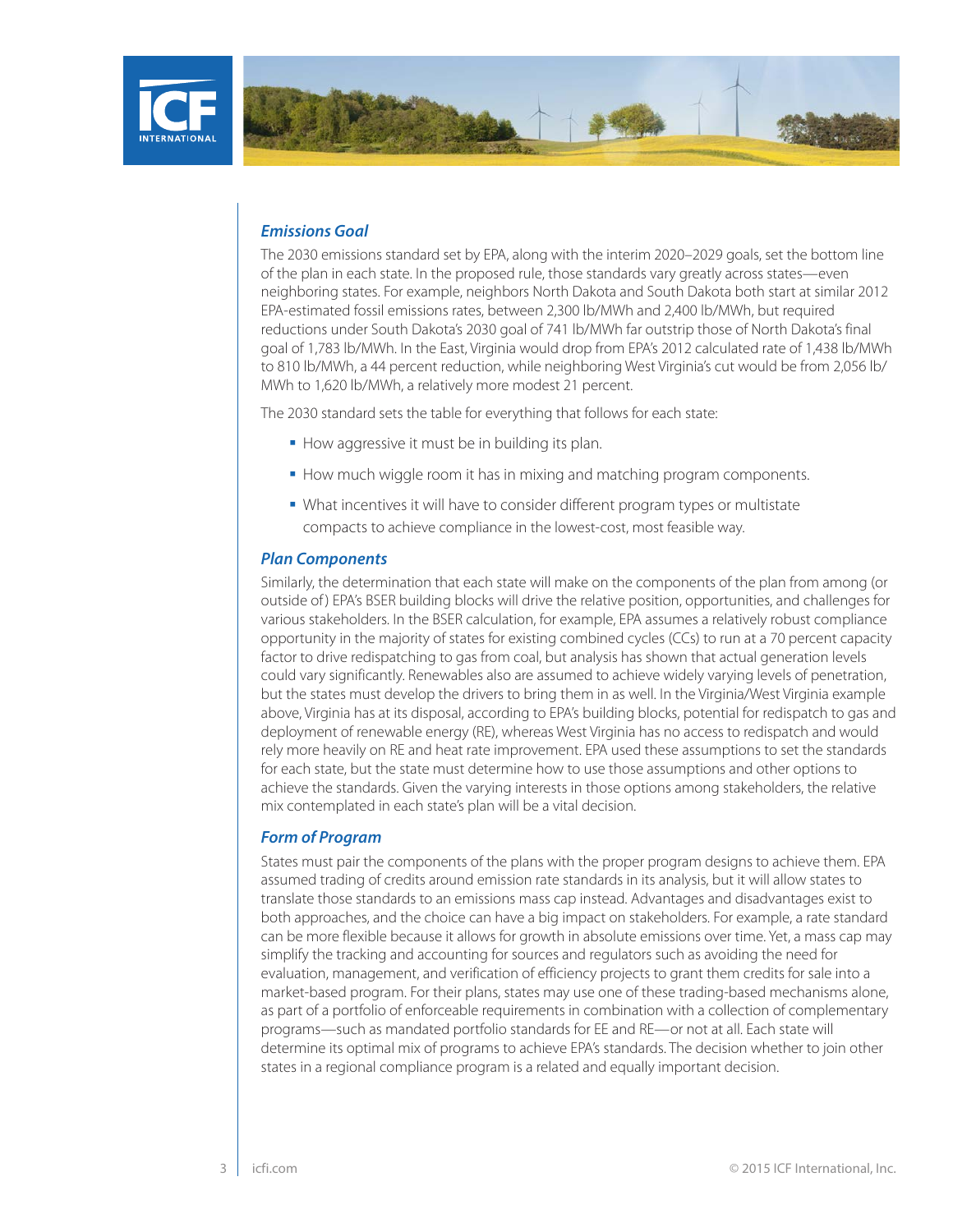



#### *Emissions Goal*

The 2030 emissions standard set by EPA, along with the interim 2020–2029 goals, set the bottom line of the plan in each state. In the proposed rule, those standards vary greatly across states—even neighboring states. For example, neighbors North Dakota and South Dakota both start at similar 2012 EPA-estimated fossil emissions rates, between 2,300 lb/MWh and 2,400 lb/MWh, but required reductions under South Dakota's 2030 goal of 741 lb/MWh far outstrip those of North Dakota's final goal of 1,783 lb/MWh. In the East, Virginia would drop from EPA's 2012 calculated rate of 1,438 lb/MWh to 810 lb/MWh, a 44 percent reduction, while neighboring West Virginia's cut would be from 2,056 lb/ MWh to 1,620 lb/MWh, a relatively more modest 21 percent.

The 2030 standard sets the table for everything that follows for each state:

- How aggressive it must be in building its plan.
- How much wiggle room it has in mixing and matching program components.
- What incentives it will have to consider different program types or multistate compacts to achieve compliance in the lowest-cost, most feasible way.

#### *Plan Components*

Similarly, the determination that each state will make on the components of the plan from among (or outside of ) EPA's BSER building blocks will drive the relative position, opportunities, and challenges for various stakeholders. In the BSER calculation, for example, EPA assumes a relatively robust compliance opportunity in the majority of states for existing combined cycles (CCs) to run at a 70 percent capacity factor to drive redispatching to gas from coal, but analysis has shown that actual generation levels could vary significantly. Renewables also are assumed to achieve widely varying levels of penetration, but the states must develop the drivers to bring them in as well. In the Virginia/West Virginia example above, Virginia has at its disposal, according to EPA's building blocks, potential for redispatch to gas and deployment of renewable energy (RE), whereas West Virginia has no access to redispatch and would rely more heavily on RE and heat rate improvement. EPA used these assumptions to set the standards for each state, but the state must determine how to use those assumptions and other options to achieve the standards. Given the varying interests in those options among stakeholders, the relative mix contemplated in each state's plan will be a vital decision.

#### *Form of Program*

States must pair the components of the plans with the proper program designs to achieve them. EPA assumed trading of credits around emission rate standards in its analysis, but it will allow states to translate those standards to an emissions mass cap instead. Advantages and disadvantages exist to both approaches, and the choice can have a big impact on stakeholders. For example, a rate standard can be more flexible because it allows for growth in absolute emissions over time. Yet, a mass cap may simplify the tracking and accounting for sources and regulators such as avoiding the need for evaluation, management, and verification of efficiency projects to grant them credits for sale into a market-based program. For their plans, states may use one of these trading-based mechanisms alone, as part of a portfolio of enforceable requirements in combination with a collection of complementary programs—such as mandated portfolio standards for EE and RE—or not at all. Each state will determine its optimal mix of programs to achieve EPA's standards. The decision whether to join other states in a regional compliance program is a related and equally important decision.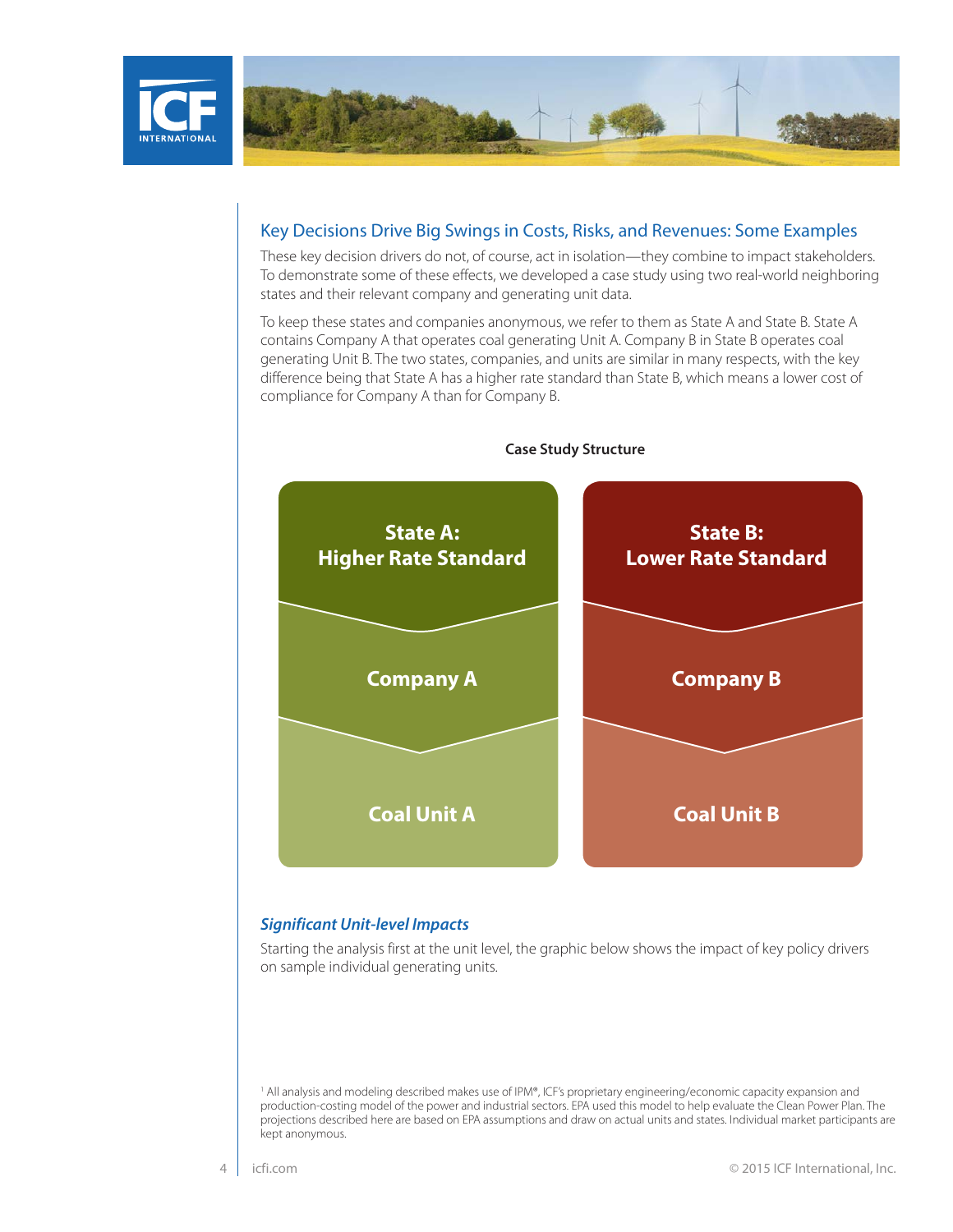



## Key Decisions Drive Big Swings in Costs, Risks, and Revenues: Some Examples

These key decision drivers do not, of course, act in isolation—they combine to impact stakeholders. To demonstrate some of these effects, we developed a case study using two real-world neighboring states and their relevant company and generating unit data.

To keep these states and companies anonymous, we refer to them as State A and State B. State A contains Company A that operates coal generating Unit A. Company B in State B operates coal generating Unit B. The two states, companies, and units are similar in many respects, with the key difference being that State A has a higher rate standard than State B, which means a lower cost of compliance for Company A than for Company B.



#### **Case Study Structure**

#### *Significant Unit-level Impacts*

Starting the analysis first at the unit level, the graphic below shows the impact of key policy drivers on sample individual generating units.

<sup>1</sup> All analysis and modeling described makes use of IPM®, ICF's proprietary engineering/economic capacity expansion and production-costing model of the power and industrial sectors. EPA used this model to help evaluate the Clean Power Plan. The projections described here are based on EPA assumptions and draw on actual units and states. Individual market participants are kept anonymous.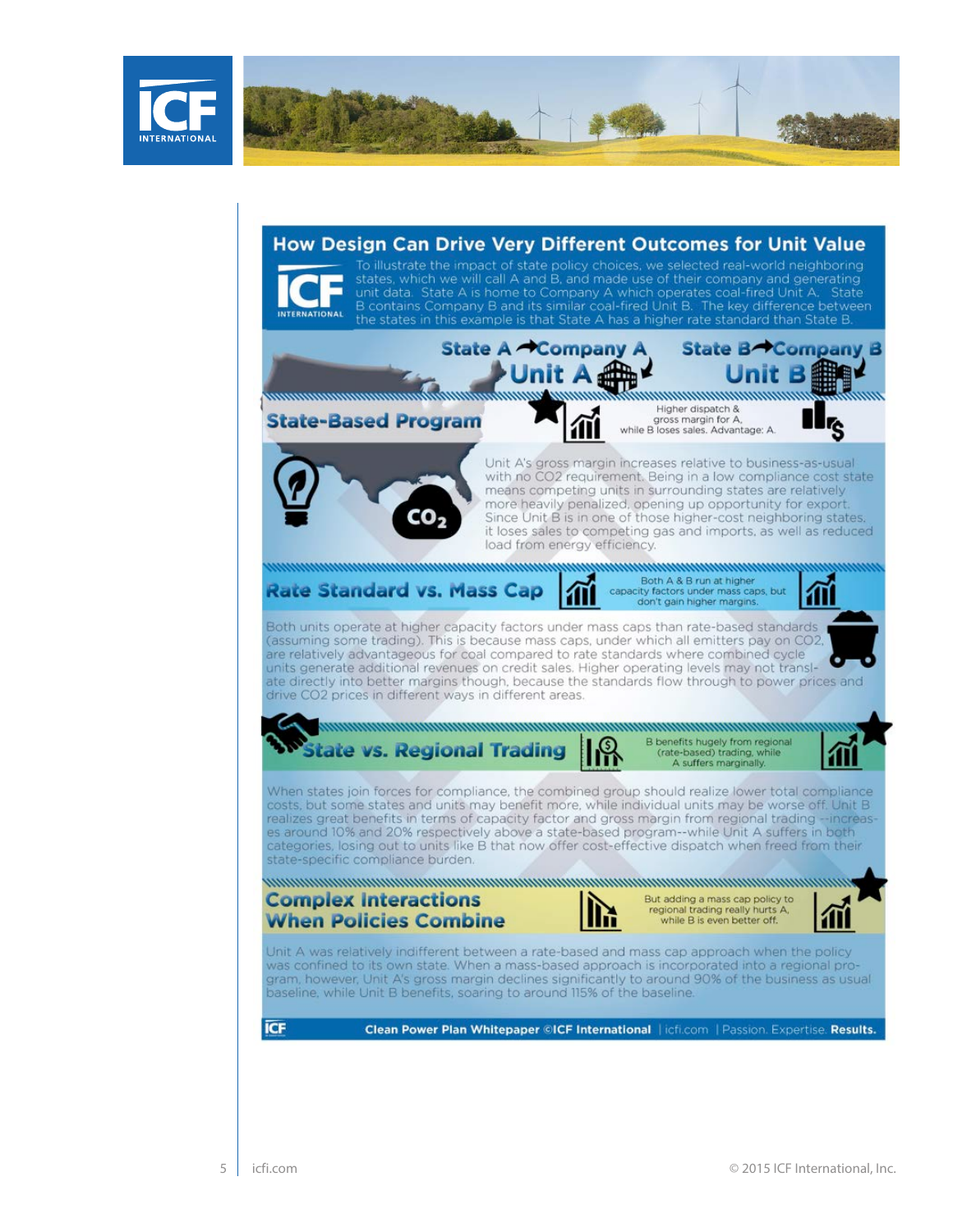

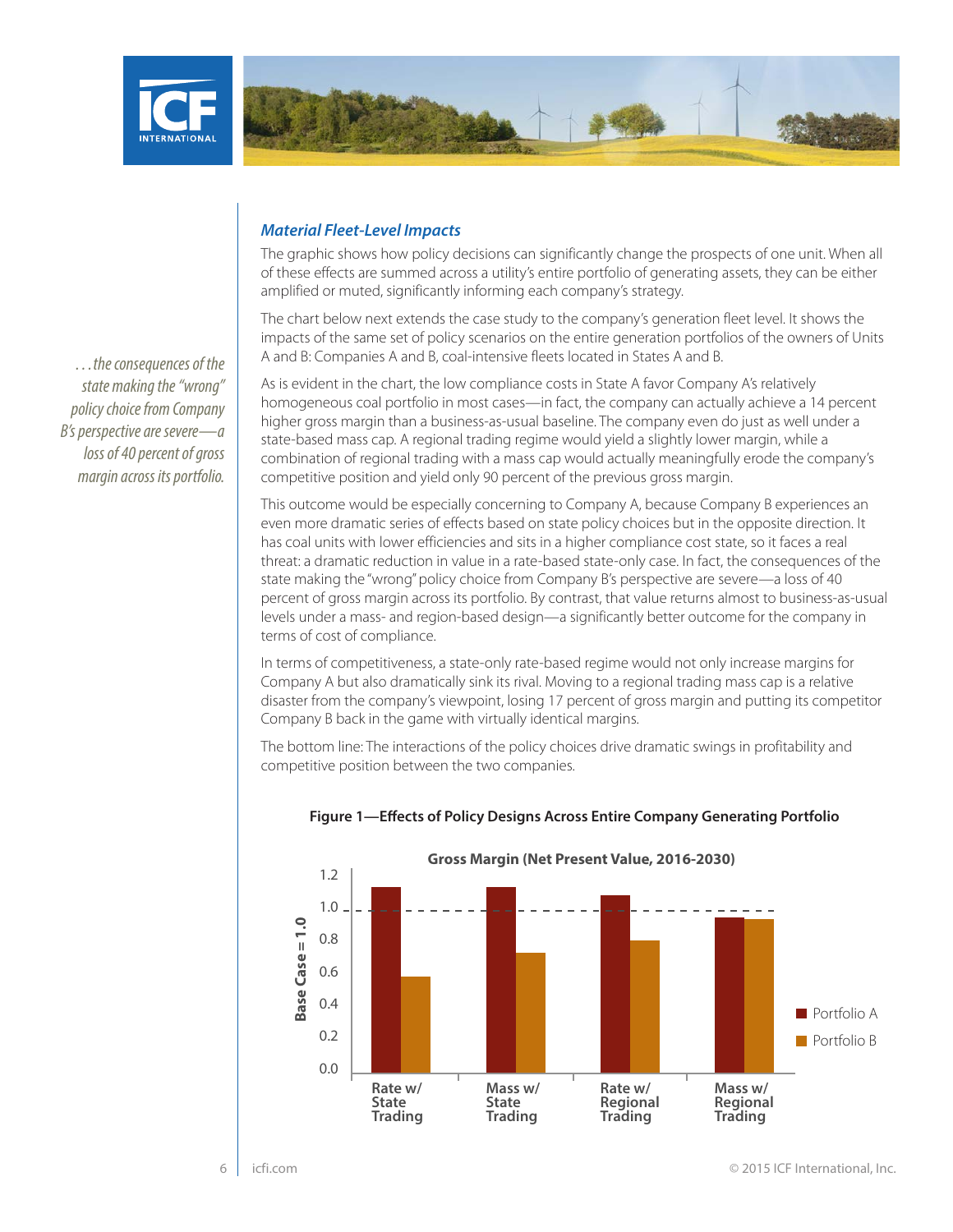



*…the consequences of the state making the "wrong" policy choice from Company B's perspective are severe—a loss of 40 percent of gross margin across its portfolio.*

## *Material Fleet-Level Impacts*

The graphic shows how policy decisions can significantly change the prospects of one unit. When all of these effects are summed across a utility's entire portfolio of generating assets, they can be either amplified or muted, significantly informing each company's strategy.

The chart below next extends the case study to the company's generation fleet level. It shows the impacts of the same set of policy scenarios on the entire generation portfolios of the owners of Units A and B: Companies A and B, coal-intensive fleets located in States A and B.

As is evident in the chart, the low compliance costs in State A favor Company A's relatively homogeneous coal portfolio in most cases—in fact, the company can actually achieve a 14 percent higher gross margin than a business-as-usual baseline. The company even do just as well under a state-based mass cap. A regional trading regime would yield a slightly lower margin, while a combination of regional trading with a mass cap would actually meaningfully erode the company's competitive position and yield only 90 percent of the previous gross margin.

This outcome would be especially concerning to Company A, because Company B experiences an even more dramatic series of effects based on state policy choices but in the opposite direction. It has coal units with lower efficiencies and sits in a higher compliance cost state, so it faces a real threat: a dramatic reduction in value in a rate-based state-only case. In fact, the consequences of the state making the "wrong" policy choice from Company B's perspective are severe—a loss of 40 percent of gross margin across its portfolio. By contrast, that value returns almost to business-as-usual levels under a mass- and region-based design—a significantly better outcome for the company in terms of cost of compliance.

In terms of competitiveness, a state-only rate-based regime would not only increase margins for Company A but also dramatically sink its rival. Moving to a regional trading mass cap is a relative disaster from the company's viewpoint, losing 17 percent of gross margin and putting its competitor Company B back in the game with virtually identical margins.

The bottom line: The interactions of the policy choices drive dramatic swings in profitability and competitive position between the two companies.



#### **Figure 1—Effects of Policy Designs Across Entire Company Generating Portfolio**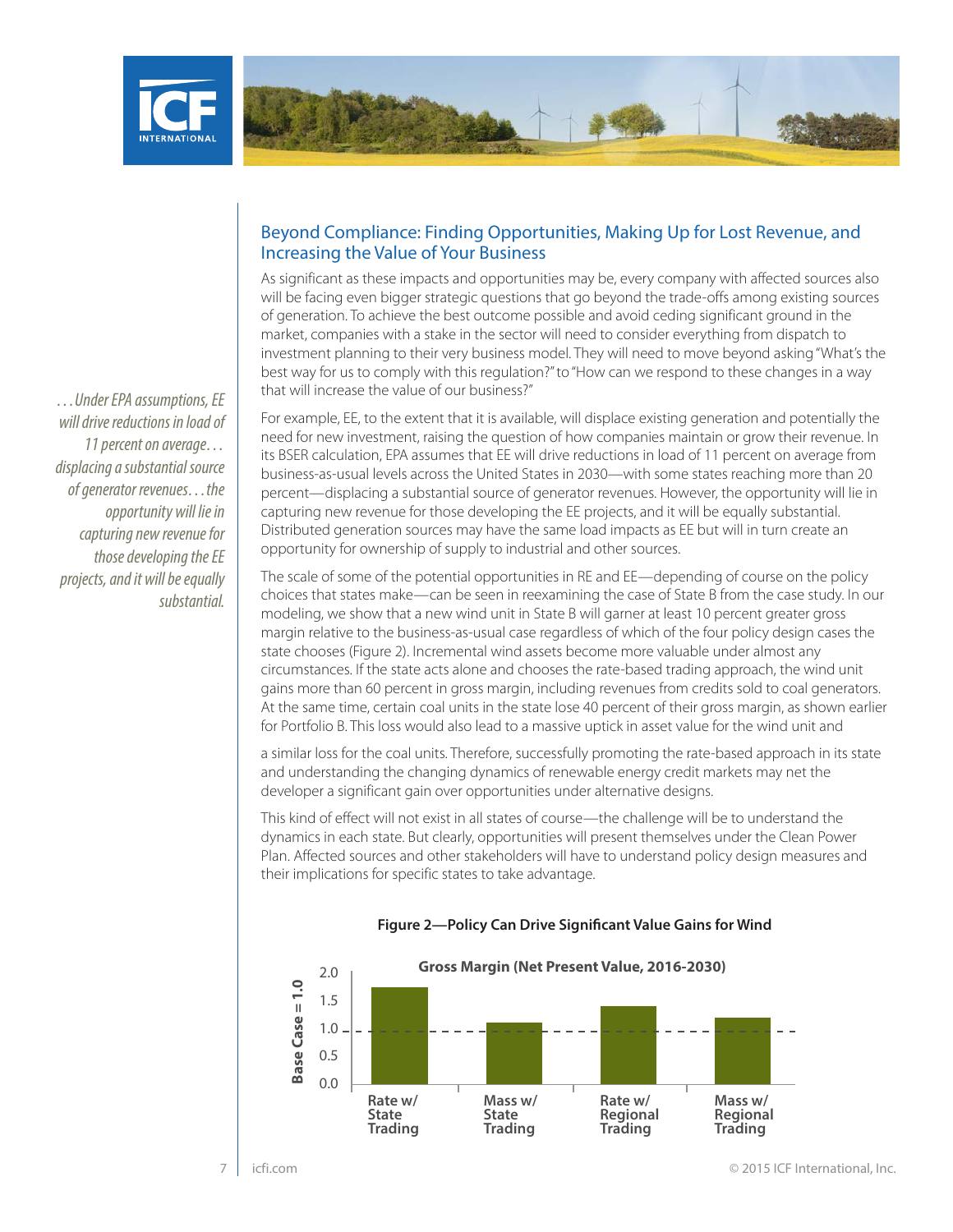



# *…Under EPA assumptions, EE will drive reductions in load of 11 percent on average… displacing a substantial source of generator revenues…the opportunity will lie in capturing new revenue for those developing the EE projects, and it will be equally substantial.*

## Beyond Compliance: Finding Opportunities, Making Up for Lost Revenue, and Increasing the Value of Your Business

As significant as these impacts and opportunities may be, every company with affected sources also will be facing even bigger strategic questions that go beyond the trade-offs among existing sources of generation. To achieve the best outcome possible and avoid ceding significant ground in the market, companies with a stake in the sector will need to consider everything from dispatch to investment planning to their very business model. They will need to move beyond asking "What's the best way for us to comply with this regulation?" to "How can we respond to these changes in a way that will increase the value of our business?"

For example, EE, to the extent that it is available, will displace existing generation and potentially the need for new investment, raising the question of how companies maintain or grow their revenue. In its BSER calculation, EPA assumes that EE will drive reductions in load of 11 percent on average from business-as-usual levels across the United States in 2030—with some states reaching more than 20 percent—displacing a substantial source of generator revenues. However, the opportunity will lie in capturing new revenue for those developing the EE projects, and it will be equally substantial. Distributed generation sources may have the same load impacts as EE but will in turn create an opportunity for ownership of supply to industrial and other sources.

The scale of some of the potential opportunities in RE and EE—depending of course on the policy choices that states make—can be seen in reexamining the case of State B from the case study. In our modeling, we show that a new wind unit in State B will garner at least 10 percent greater gross margin relative to the business-as-usual case regardless of which of the four policy design cases the state chooses (Figure 2). Incremental wind assets become more valuable under almost any circumstances. If the state acts alone and chooses the rate-based trading approach, the wind unit gains more than 60 percent in gross margin, including revenues from credits sold to coal generators. At the same time, certain coal units in the state lose 40 percent of their gross margin, as shown earlier for Portfolio B. This loss would also lead to a massive uptick in asset value for the wind unit and

a similar loss for the coal units. Therefore, successfully promoting the rate-based approach in its state and understanding the changing dynamics of renewable energy credit markets may net the developer a significant gain over opportunities under alternative designs.

This kind of effect will not exist in all states of course—the challenge will be to understand the dynamics in each state. But clearly, opportunities will present themselves under the Clean Power Plan. Affected sources and other stakeholders will have to understand policy design measures and their implications for specific states to take advantage.



#### **Figure 2—Policy Can Drive Significant Value Gains for Wind**